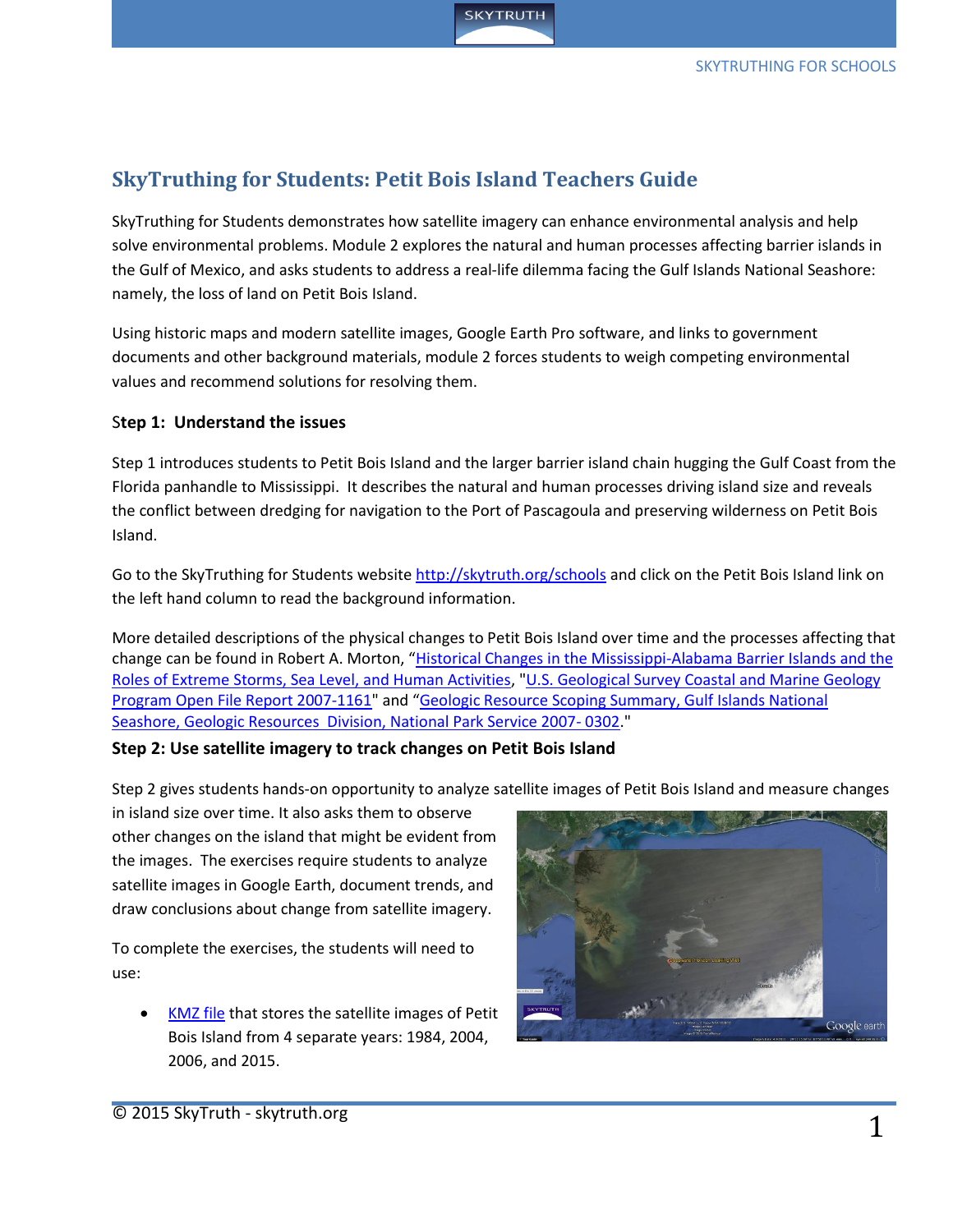

# **SkyTruthing for Students: Petit Bois Island Teachers Guide**

SkyTruthing for Students demonstrates how satellite imagery can enhance environmental analysis and help solve environmental problems. Module 2 explores the natural and human processes affecting barrier islands in the Gulf of Mexico, and asks students to address a real-life dilemma facing the Gulf Islands National Seashore: namely, the loss of land on Petit Bois Island.

Using historic maps and modern satellite images, Google Earth Pro software, and links to government documents and other background materials, module 2 forces students to weigh competing environmental values and recommend solutions for resolving them.

## S**tep 1: Understand the issues**

Step 1 introduces students to Petit Bois Island and the larger barrier island chain hugging the Gulf Coast from the Florida panhandle to Mississippi. It describes the natural and human processes driving island size and reveals the conflict between dredging for navigation to the Port of Pascagoula and preserving wilderness on Petit Bois Island.

Go to the SkyTruthing for Students website<http://skytruth.org/schools> and click on the Petit Bois Island link on the left hand column to read the background information.

More detailed descriptions of the physical changes to Petit Bois Island over time and the processes affecting that change can be found in Robert A. Morton, "Historical Changes in the Mississippi-Alabama Barrier Islands and the [Roles of Extreme Storms, Sea Level, and Human Activities,](http://pubs.usgs.gov/of/2007/1161/OFR-2007-1161-screen.pdf) ["U.S. Geological Survey Coastal and Marine Geology](http://pubs.usgs.gov/of/2007/1161/OFR-2007-1161-screen.pdf)  Program [Open File Report 2007-1161"](http://pubs.usgs.gov/of/2007/1161/OFR-2007-1161-screen.pdf) and "[Geologic Resource Scoping Summary, Gulf Islands National](http://www.nature.nps.gov/geology/inventory/publications/s_summaries/GUIS_GRE_scoping_summary_2007-0302.pdf)  [Seashore, Geologic Resources Division, National Park Service 2007-](http://www.nature.nps.gov/geology/inventory/publications/s_summaries/GUIS_GRE_scoping_summary_2007-0302.pdf) 0302."

## **Step 2: Use satellite imagery to track changes on Petit Bois Island**

Step 2 gives students hands-on opportunity to analyze satellite images of Petit Bois Island and measure changes

in island size over time. It also asks them to observe other changes on the island that might be evident from the images. The exercises require students to analyze satellite images in Google Earth, document trends, and draw conclusions about change from satellite imagery.

To complete the exercises, the students will need to use:

 [KMZ file](http://skytruth.org/schools/wp-content/uploads/2015/07/Petit_Bois_Island_student.kmz) that stores the satellite images of Petit Bois Island from 4 separate years: 1984, 2004, 2006, and 2015.

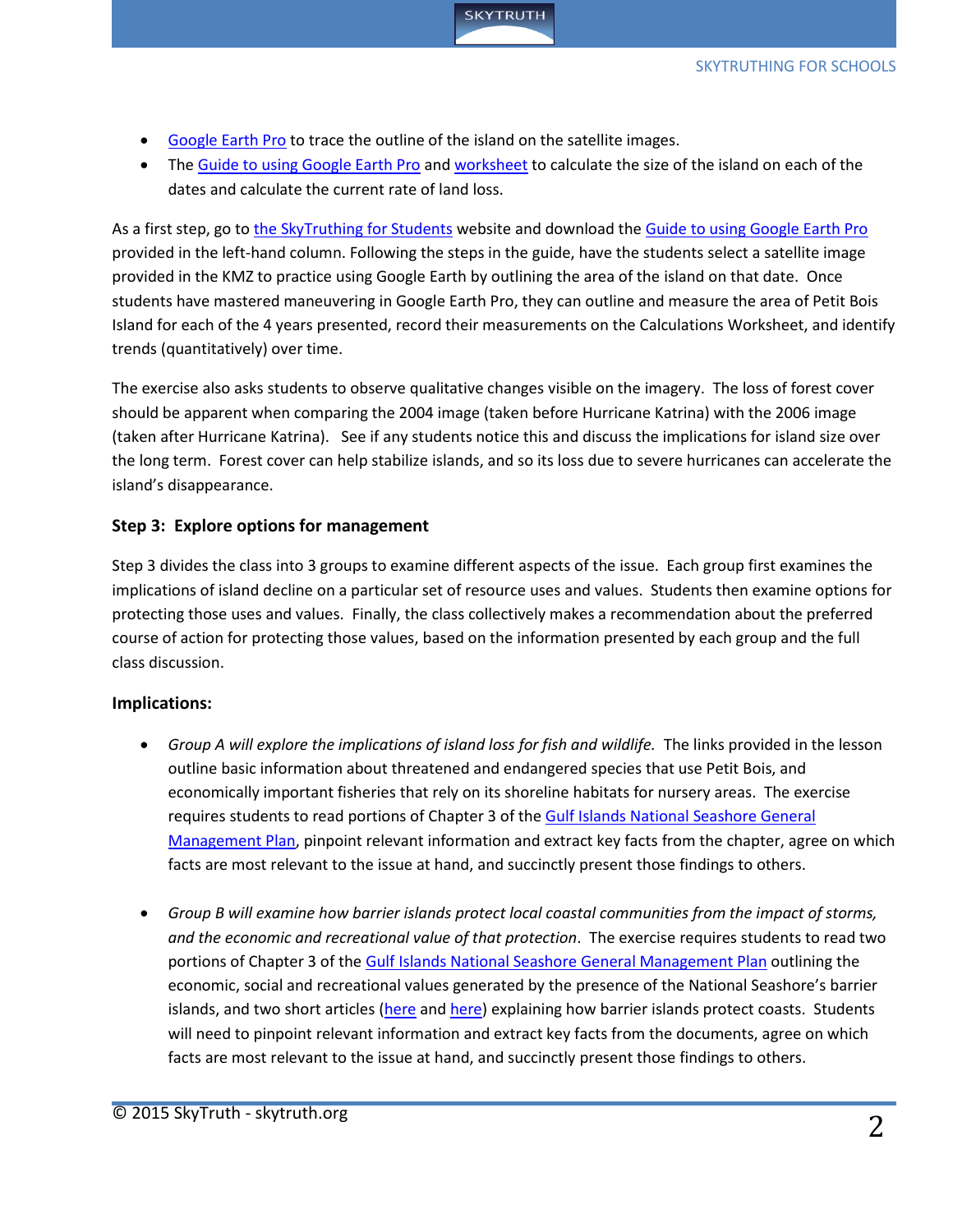

- [Google Earth Pro](http://www.google.com/earth/download/gep/agree.html) to trace the outline of the island on the satellite images.
- The [Guide to using Google Earth Pro](http://skytruth.org/schools/wp-content/uploads/2015/07/PBI_Google_Earth_Guide.pdf) and [worksheet](http://skytruth.org/schools/wp-content/uploads/2015/07/PBI_Worksheet.pdf) to calculate the size of the island on each of the dates and calculate the current rate of land loss.

As a first step, go to [the SkyTruthing for Students](http://skytruth.org/schools/) website and download the [Guide to using Google Earth Pro](http://skytruth.org/schools/wp-content/uploads/2015/07/PBI_Google_Earth_Guide.pdf) provided in the left-hand column. Following the steps in the guide, have the students select a satellite image provided in the KMZ to practice using Google Earth by outlining the area of the island on that date. Once students have mastered maneuvering in Google Earth Pro, they can outline and measure the area of Petit Bois Island for each of the 4 years presented, record their measurements on the Calculations Worksheet, and identify trends (quantitatively) over time.

The exercise also asks students to observe qualitative changes visible on the imagery. The loss of forest cover should be apparent when comparing the 2004 image (taken before Hurricane Katrina) with the 2006 image (taken after Hurricane Katrina). See if any students notice this and discuss the implications for island size over the long term. Forest cover can help stabilize islands, and so its loss due to severe hurricanes can accelerate the island's disappearance.

## **Step 3: Explore options for management**

Step 3 divides the class into 3 groups to examine different aspects of the issue. Each group first examines the implications of island decline on a particular set of resource uses and values. Students then examine options for protecting those uses and values. Finally, the class collectively makes a recommendation about the preferred course of action for protecting those values, based on the information presented by each group and the full class discussion.

## **Implications:**

- *Group A will explore the implications of island loss for fish and wildlife.* The links provided in the lesson outline basic information about threatened and endangered species that use Petit Bois, and economically important fisheries that rely on its shoreline habitats for nursery areas. The exercise requires students to read portions of Chapter 3 of the **Gulf Islands National Seashore General** [Management Plan,](http://parkplanning.nps.gov/document.cfm?parkID=384&projectID=11318&documentID=60389) pinpoint relevant information and extract key facts from the chapter, agree on which facts are most relevant to the issue at hand, and succinctly present those findings to others.
- *Group B will examine how barrier islands protect local coastal communities from the impact of storms, and the economic and recreational value of that protection*. The exercise requires students to read two portions of Chapter 3 of the [Gulf Islands National Seashore General Management Plan](http://parkplanning.nps.gov/document.cfm?parkID=384&projectID=11318&documentID=60389) outlining the economic, social and recreational values generated by the presence of the National Seashore's barrier islands, and two short articles [\(here](http://www.fastcoexist.com/1682620/natural-barriers-are-what-prevent-coastal-cities-from-being-destroyed) and [here\)](http://news.nationalgeographic.com/news/2013/07/130714-coastline-beach-coastal-disaster-flood-sea-level-rise-ocean-storm/) explaining how barrier islands protect coasts. Students will need to pinpoint relevant information and extract key facts from the documents, agree on which facts are most relevant to the issue at hand, and succinctly present those findings to others.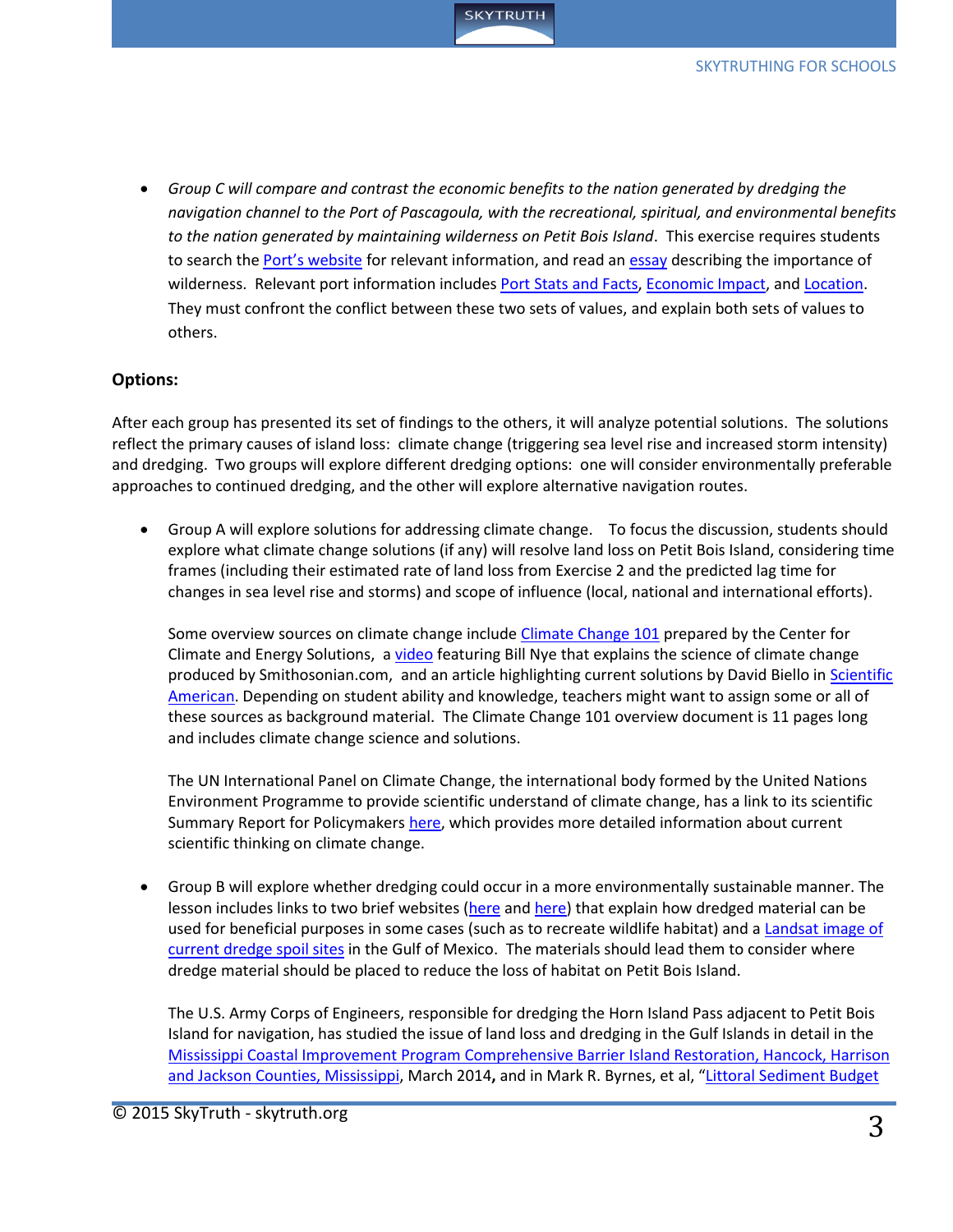

 *Group C will compare and contrast the economic benefits to the nation generated by dredging the navigation channel to the Port of Pascagoula, with the recreational, spiritual, and environmental benefits to the nation generated by maintaining wilderness on Petit Bois Island*. This exercise requires students to search the [Port's website](http://www.portofpascagoula.com/index.html) for relevant information, and read a[n essay](http://www.wilderness.net/NWPS/values) describing the importance of wilderness. Relevant port information includes [Port Stats and Facts,](http://www.portofpascagoula.com/port-facts.html) [Economic Impact,](http://www.portofpascagoula.com/economic-impact.html) an[d Location.](http://www.portofpascagoula.com/location.html) They must confront the conflict between these two sets of values, and explain both sets of values to others.

#### **Options:**

After each group has presented its set of findings to the others, it will analyze potential solutions. The solutions reflect the primary causes of island loss: climate change (triggering sea level rise and increased storm intensity) and dredging. Two groups will explore different dredging options: one will consider environmentally preferable approaches to continued dredging, and the other will explore alternative navigation routes.

 Group A will explore solutions for addressing climate change. To focus the discussion, students should explore what climate change solutions (if any) will resolve land loss on Petit Bois Island, considering time frames (including their estimated rate of land loss from Exercise 2 and the predicted lag time for changes in sea level rise and storms) and scope of influence (local, national and international efforts).

Some overview sources on climate change includ[e Climate Change 101](http://www.c2es.org/publications/climate-change-101) prepared by the Center for Climate and Energy Solutions, a [video](http://www.scientificamerican.com/article/7-solutions-to-climate-change-happening-now/) featuring Bill Nye that explains the science of climate change produced by Smithosonian.com, and an article highlighting current solutions by David Biello in Scientific [American.](http://www.scientificamerican.com/article/7-solutions-to-climate-change-happening-now/) Depending on student ability and knowledge, teachers might want to assign some or all of these sources as background material. The Climate Change 101 overview document is 11 pages long and includes climate change science and solutions.

The UN International Panel on Climate Change, the international body formed by the United Nations Environment Programme to provide scientific understand of climate change, has a link to its scientific Summary Report for Policymakers [here,](http://www.ipcc.ch/index.htm) which provides more detailed information about current scientific thinking on climate change.

 Group B will explore whether dredging could occur in a more environmentally sustainable manner. The lesson includes links to two brief websites [\(here](http://el.erdc.usace.army.mil/dots/budm/intro.cfm?Topic=Intro) an[d here\)](http://el.erdc.usace.army.mil/dots/budm/factsheets.cfm?Topic=Land%20Creation&Id=0) that explain how dredged material can be used for beneficial purposes in some cases (such as to recreate wildlife habitat) and a [Landsat image](http://www.sam.usace.army.mil/Portals/46/docs/program_management/mscip/docs/Appendix%20B%20-%20Littoral%20Sediment%20Budget%20Report.pdf#page=17) of [current dredge spoil sites](http://www.sam.usace.army.mil/Portals/46/docs/program_management/mscip/docs/Appendix%20B%20-%20Littoral%20Sediment%20Budget%20Report.pdf#page=17) in the Gulf of Mexico. The materials should lead them to consider where dredge material should be placed to reduce the loss of habitat on Petit Bois Island.

The U.S. Army Corps of Engineers, responsible for dredging the Horn Island Pass adjacent to Petit Bois Island for navigation, has studied the issue of land loss and dredging in the Gulf Islands in detail in the [Mississippi Coastal Improvement Program Comprehensive Barrier Island Restoration, Hancock, Harrison](http://www.sam.usace.army.mil/Portals/46/docs/program_management/mscip/docs/MsCIP_DSEIS_02-27-14_Final.pdf)  [and Jackson Counties, Mississippi,](http://www.sam.usace.army.mil/Portals/46/docs/program_management/mscip/docs/MsCIP_DSEIS_02-27-14_Final.pdf) March 2014**,** and in Mark R. Byrnes, et al, "[Littoral Sediment Budget](http://www.sam.usace.army.mil/Portals/46/docs/program_management/mscip/docs/Appendix%20B%20-%20Littoral%20Sediment%20Budget%20Report.pdf)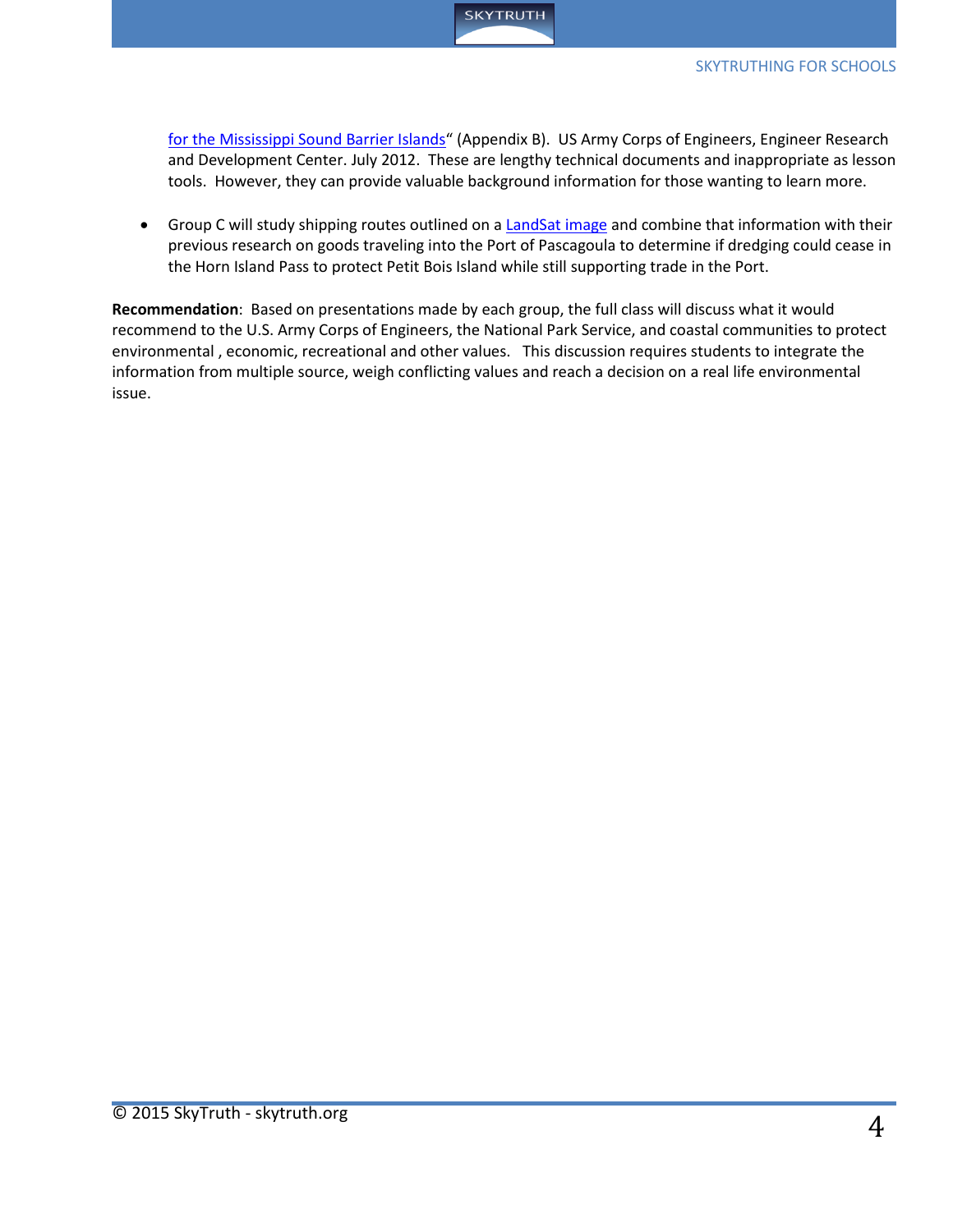

[for the Mississippi Sound Barrier Islands](http://www.sam.usace.army.mil/Portals/46/docs/program_management/mscip/docs/Appendix%20B%20-%20Littoral%20Sediment%20Budget%20Report.pdf)" (Appendix B). US Army Corps of Engineers, Engineer Research and Development Center. July 2012. These are lengthy technical documents and inappropriate as lesson tools. However, they can provide valuable background information for those wanting to learn more.

• Group C will study shipping routes outlined on a [LandSat image](http://www.sam.usace.army.mil/Portals/46/docs/program_management/mscip/docs/MsCIP_DSEIS_02-27-14_Final.pdf#page=27) and combine that information with their previous research on goods traveling into the Port of Pascagoula to determine if dredging could cease in the Horn Island Pass to protect Petit Bois Island while still supporting trade in the Port.

**Recommendation**: Based on presentations made by each group, the full class will discuss what it would recommend to the U.S. Army Corps of Engineers, the National Park Service, and coastal communities to protect environmental , economic, recreational and other values. This discussion requires students to integrate the information from multiple source, weigh conflicting values and reach a decision on a real life environmental issue.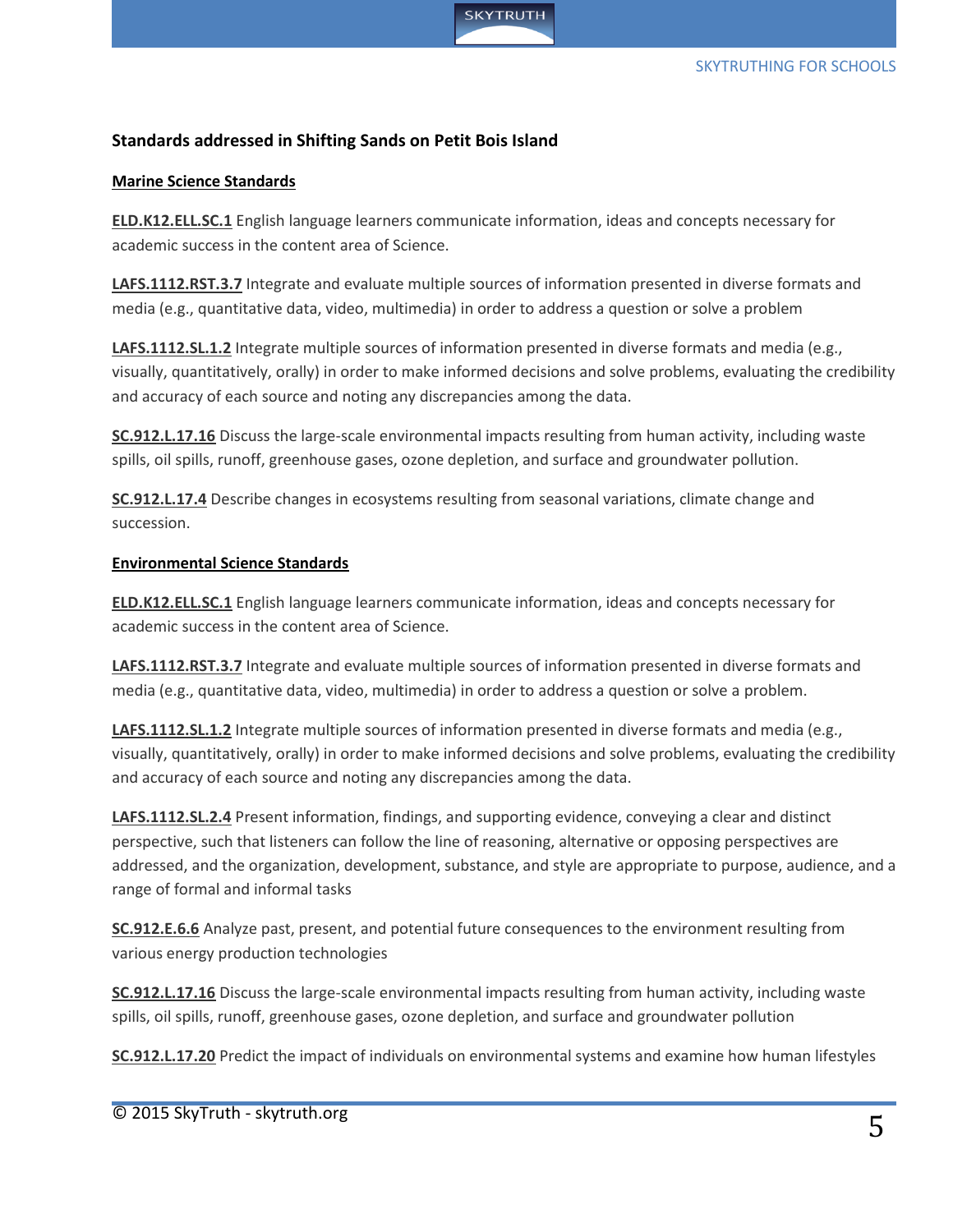

## **Standards addressed in Shifting Sands on Petit Bois Island**

#### **Marine Science Standards**

**[ELD.K12.ELL.SC.1](http://www.cpalms.org/Public/PreviewStandard/Preview/8643)** English language learners communicate information, ideas and concepts necessary for academic success in the content area of Science.

**[LAFS.1112.RST.3.7](http://www.cpalms.org/Public/PreviewStandard/Preview/6210)** Integrate and evaluate multiple sources of information presented in diverse formats and media (e.g., quantitative data, video, multimedia) in order to address a question or solve a problem

**[LAFS.1112.SL.1.2](http://www.cpalms.org/Public/PreviewStandard/Preview/6115)** Integrate multiple sources of information presented in diverse formats and media (e.g., visually, quantitatively, orally) in order to make informed decisions and solve problems, evaluating the credibility and accuracy of each source and noting any discrepancies among the data.

**[SC.912.L.17.16](http://www.cpalms.org/Public/PreviewStandard/Preview/2041)** Discuss the large-scale environmental impacts resulting from human activity, including waste spills, oil spills, runoff, greenhouse gases, ozone depletion, and surface and groundwater pollution.

**[SC.912.L.17.4](http://www.cpalms.org/Public/PreviewStandard/Preview/2032)** Describe changes in ecosystems resulting from seasonal variations, climate change and succession.

#### **Environmental Science Standards**

**[ELD.K12.ELL.SC.1](http://www.cpalms.org/Public/PreviewStandard/Preview/8643)** English language learners communicate information, ideas and concepts necessary for academic success in the content area of Science.

**[LAFS.1112.RST.3.7](http://www.cpalms.org/Public/PreviewStandard/Preview/6210)** Integrate and evaluate multiple sources of information presented in diverse formats and media (e.g., quantitative data, video, multimedia) in order to address a question or solve a problem.

**[LAFS.1112.SL.1.2](http://www.cpalms.org/Public/PreviewStandard/Preview/6115)** Integrate multiple sources of information presented in diverse formats and media (e.g., visually, quantitatively, orally) in order to make informed decisions and solve problems, evaluating the credibility and accuracy of each source and noting any discrepancies among the data.

**[LAFS.1112.SL.2.4](http://www.cpalms.org/Public/PreviewStandard/Preview/6117)** Present information, findings, and supporting evidence, conveying a clear and distinct perspective, such that listeners can follow the line of reasoning, alternative or opposing perspectives are addressed, and the organization, development, substance, and style are appropriate to purpose, audience, and a range of formal and informal tasks

**[SC.912.E.6.6](http://www.cpalms.org/Public/PreviewStandard/Preview/1892)** Analyze past, present, and potential future consequences to the environment resulting from various energy production technologies

**[SC.912.L.17.16](http://www.cpalms.org/Public/PreviewStandard/Preview/2041)** Discuss the large-scale environmental impacts resulting from human activity, including waste spills, oil spills, runoff, greenhouse gases, ozone depletion, and surface and groundwater pollution

**[SC.912.L.17.20](http://www.cpalms.org/Public/PreviewStandard/Preview/2043)** Predict the impact of individuals on environmental systems and examine how human lifestyles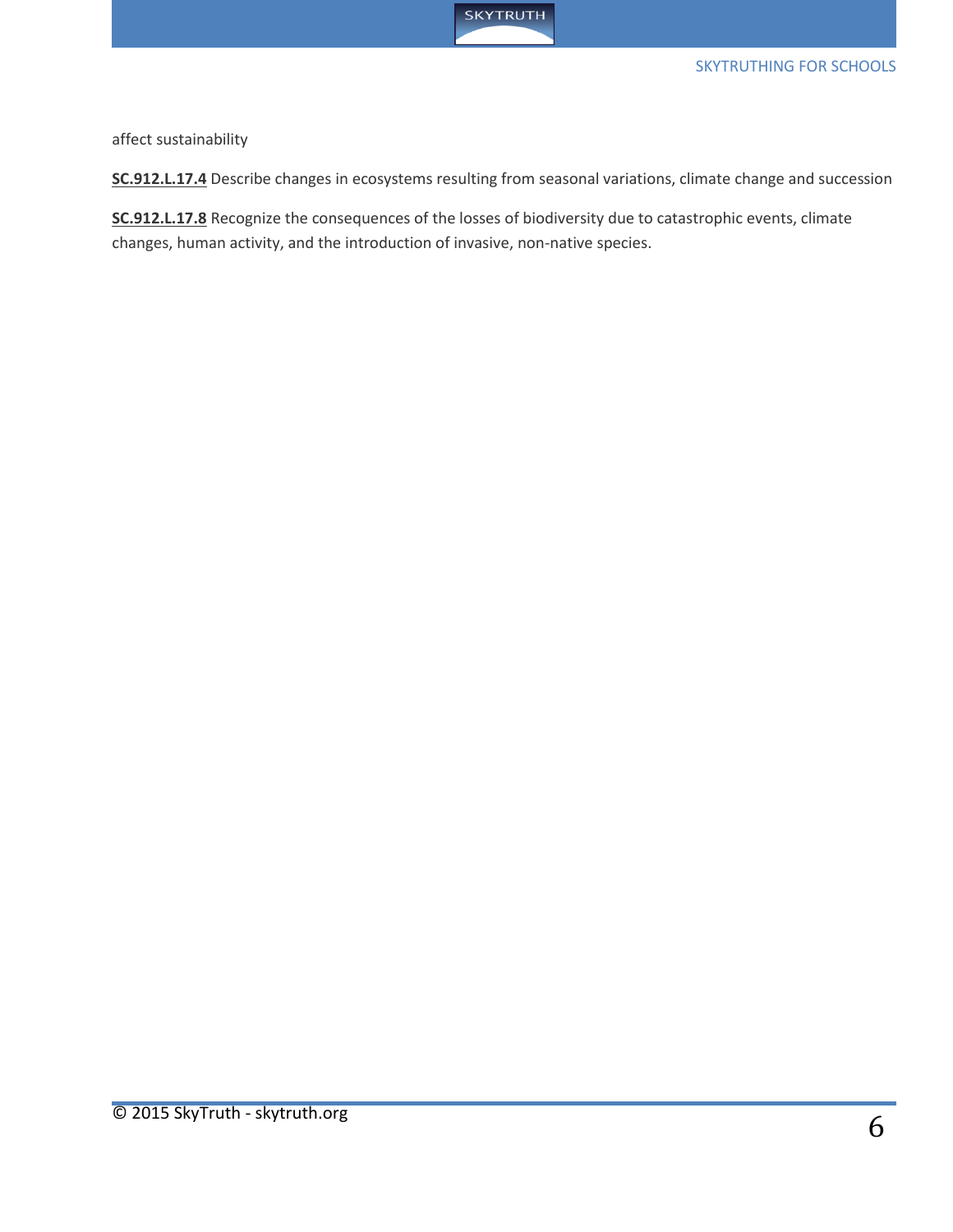

#### SKYTRUTHING FOR SCHOOLS

affect sustainability

**[SC.912.L.17.4](http://www.cpalms.org/Public/PreviewStandard/Preview/2032)** Describe changes in ecosystems resulting from seasonal variations, climate change and succession

**[SC.912.L.17.8](http://www.cpalms.org/Public/PreviewStandard/Preview/2036)** Recognize the consequences of the losses of biodiversity due to catastrophic events, climate changes, human activity, and the introduction of invasive, non-native species.